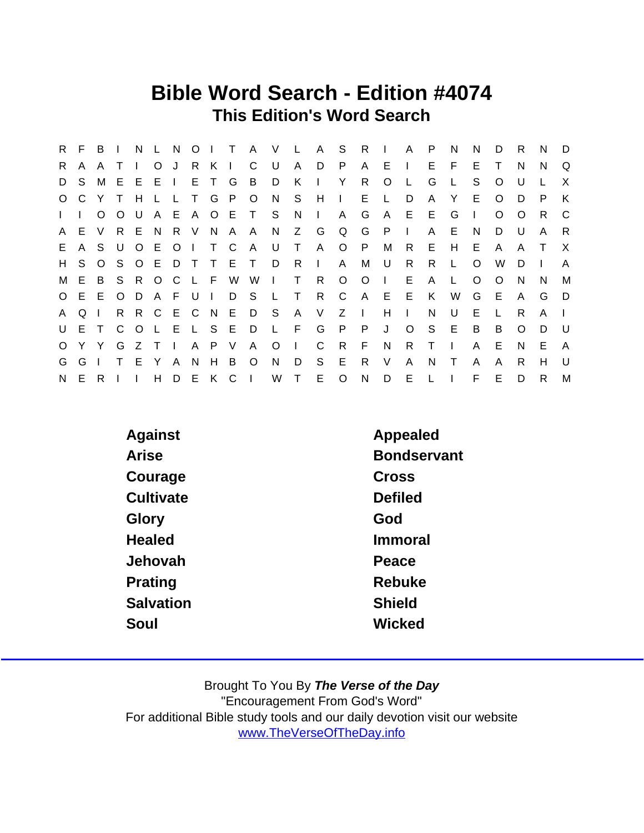### Bible Word Search - Edition #4074 This Edition's Word Search

|              | R F   | B            | $\blacksquare$  | N            | $\mathbf{L}$ | N.      |          | $O1$ T       |                 | A V           |         | $\mathbf{L}$ | A S          |              | - R            | $\sim 10^5$  | $\mathsf{A}$ | P            | N  | N            | D       | R        | N      | D              |
|--------------|-------|--------------|-----------------|--------------|--------------|---------|----------|--------------|-----------------|---------------|---------|--------------|--------------|--------------|----------------|--------------|--------------|--------------|----|--------------|---------|----------|--------|----------------|
| R.           | A     |              |                 |              | O J          |         | R.       | $K \mid$     |                 | C             | U       | $\mathsf{A}$ | D            | P            | A              | E.           |              | E.           | E  | E            | Τ       | N        | N      | Q              |
|              | D S   |              | M E             |              | $E$ $E$ $I$  |         |          | E T G        |                 | B             | D       | K            |              | Y            | R.             | $\Omega$     |              | G            |    | S            | O       | U        |        | X              |
|              | O C Y |              |                 | H            |              |         |          |              | T G P O         |               | N       | S.           | H            | $\mathbf{L}$ |                | E L          | D            | A            | Y  | E.           | O       | D        | P      | K              |
| $\mathbf{L}$ |       | $\Omega$     | $\circ$         | U.           |              |         |          |              |                 | A E A O E T S |         | N.           | $\mathbf{L}$ | $\mathsf{A}$ | G              | $\mathsf{A}$ | E.           | E.           | G  | $\mathbf{I}$ | $\circ$ | $\Omega$ | R.     | C.             |
| A            | E V   |              | R               | E N          |              |         | R V      |              | N A A           |               | N.      | Z            | G            | Q            | $\mathsf{G}$   | $\mathsf{P}$ |              | A            | E. | N            | D       | U        | A      | R              |
| E.           |       | A S U        |                 | $\circ$      | E            | $\circ$ | $\sim 1$ | T C          |                 | A             | U       | $\top$       | $\mathsf{A}$ |              | $O$ $P$        | М            | R.           | E.           | H  | E.           | A       | A        | $\top$ | X              |
| H            | S.    |              | $O_S$           |              | O E          |         | D T      | $\top$       | E T             |               | D       | - R          | $\Box$       | A            | M              | U            | R.           | R.           | L  | $\Omega$     | W       | D        |        | $\overline{A}$ |
|              | M E   |              | B S R O C L F W |              |              |         |          |              |                 | W I T         |         |              | R.           | $\circ$      | $\circ$        | $\mathbf{L}$ | E            | A            | L  | $\circ$      | $\circ$ | N        | N      | M              |
|              |       | O E E O      |                 | D            | A F          |         | . U      | $\mathbf{L}$ | D S             |               | L.      | $\top$       | R —          | $\mathsf{C}$ | $\overline{A}$ | E            | - E          | K            | W  | G            | - E     | A        | G      | D              |
| A            | Q     | $\Box$       |                 |              | R R C E C N  |         |          |              |                 | E D S         |         | A            | V            | $Z \mid$     |                | H            | $\Box$       | N            | U  | Е            | L.      | R        | A      |                |
|              | U E T |              |                 |              |              |         |          |              | C O L E L S E D |               | L F     |              | G            | P            | P              | J            | $\circ$      | S.           | E. | B            | B       | $\Omega$ | D      | - U            |
| $\circ$      | Y.    | <sup>Y</sup> | G               | Z T          |              | $\Box$  | A.       |              | P V             | A             | $\circ$ | $\Box$       | $\mathsf{C}$ | R.           | F              | N            | R.           | $\top$       |    | A            | Е       | N        | E      | A              |
| G            | G     |              |                 | E            | Y            | A       | N        | H.           | B               | $\circ$       | N       | D            | S.           | E            | R.             | V            | A            | N            | Τ  | A            | A       | R        | H      | $\cup$         |
| N.           | E.    | R.           |                 | $\mathbf{L}$ | H            | D       |          |              | EKCI            |               | W       | $\top$       | E.           | $\circ$      | $\mathsf{N}$   | D            | E            | $\mathsf{L}$ |    | F.           | Е       | D        | R      | M              |

| Against          | Appealed           |
|------------------|--------------------|
| Arise            | <b>Bondservant</b> |
| Courage          | Cross              |
| Cultivate        | <b>Defiled</b>     |
| Glory            | God                |
| Healed           | Immoral            |
| Jehovah          | Peace              |
| Prating          | Rebuke             |
| <b>Salvation</b> | <b>Shield</b>      |
| Soul             | Wicked             |
|                  |                    |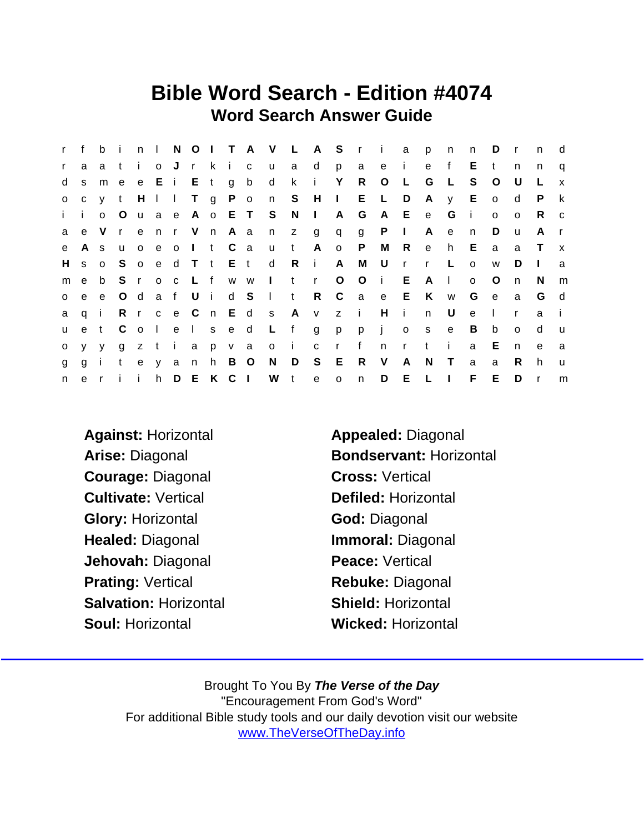### Bible Word Search - Edition #4074 Word Search Answer Guide

| $\mathsf{r}$ | f            | b            | -i-          |              | $n \mid$ |           |             |   |             |               | NOITAVLAS ri   |       |                 |              |         |                | a            | p            | n            | n       | D            | $\mathsf{r}$ | $\mathsf{n}$ | d            |
|--------------|--------------|--------------|--------------|--------------|----------|-----------|-------------|---|-------------|---------------|----------------|-------|-----------------|--------------|---------|----------------|--------------|--------------|--------------|---------|--------------|--------------|--------------|--------------|
| $\mathbf{r}$ | a            | a            | $-t$         | $\mathbf{1}$ | o J      |           |             |   | rkic        |               | <b>u</b>       | a     | $\mathsf{d}$    | p            | a       | e i            |              | e            | f            | E.      | $\mathbf t$  | n            | n            | q            |
| d            | S            | m e          |              |              |          | e E i E t |             |   | g b         |               | $\mathsf{d}$   | k.    | j.              | Y            | R       | $\circ$        | $\mathsf{L}$ | G            | - L          | S.      | $\circ$      | U            |              | $\mathsf{x}$ |
| $\circ$      |              | c y t        |              |              |          |           |             |   |             | HII T g P o n |                |       | S H I           |              |         | $E \quad L$    | D            | A            | $\mathsf{V}$ | E       | $\circ$      | d            | P.           | k            |
| i.           | j.           | $\Omega$     | $\circ$      |              | u a e    |           |             |   | A o E T     |               | S              | N     | $\perp$         | A            | G       | A              | E            | $\mathbf{e}$ | G            | - i     | $\Omega$     | $\mathsf{o}$ | R.           | C            |
| a            |              | e V          | $\mathbf{r}$ | e            |          |           |             |   | n r V n A a |               | n              | z g   |                 | q            |         | $g$ $P$        | $\mathbf{L}$ | A            | e            | n       | D            | u            | A            | $\mathsf{r}$ |
| e            | $\mathsf{A}$ | <sub>S</sub> | u            | $\circ$      | e o      |           | $\vert$ t C |   |             | a a           | <b>u</b>       | $-t$  | A               | $\mathsf{o}$ | P       | M              | $\mathsf{R}$ | $\mathbf{e}$ | h.           | E.      | a            | a            | $\top$       | $\mathsf{x}$ |
| H            | S            | o S          |              |              |          | o e d T t |             |   |             | E t           | $\mathsf{d}$   | Ri    |                 | A            | M       | U              | $\mathsf{r}$ | $\mathsf{r}$ | $\mathsf{L}$ | $\circ$ | W            | D            | $\mathbf{I}$ | a            |
| m            | e            | b            | S.           | r            | $O$ $C$  |           | L f         |   |             | W W           | $\sim 1$ .     | $-t$  | $\mathsf{r}$    | $\circ$      | $\circ$ | $\mathbf{i}$   | E            | A            | $\mathbf{L}$ | $\circ$ | $\circ$      | n            | N            | m            |
| $\circ$      | e            |              | e O d        |              | a f      |           | Ui          |   |             | d S           | $\mathbb{R}^n$ | $-t$  | $R_{\parallel}$ | $\mathbf{C}$ |         | a e E          |              | K            | W            | G       | $\mathbf{e}$ | a            | G            | d            |
| a            | qi           |              |              | R r          |          | $c$ e $C$ |             |   |             | n E d s       |                | A v   |                 | z i          |         | H              | $\mathbf{i}$ | n            | U            | e       | $\perp$      | $\mathsf{r}$ | a            |              |
| <b>u</b>     |              | et Colel     |              |              |          |           |             |   | s e d       |               | $\mathsf{L}$   | f     | g               | p            | p       | $\blacksquare$ | $\mathsf{o}$ | S            | e            | B       | b            | $\Omega$     | d            | <b>u</b>     |
| $\circ$      | <b>V</b>     | <b>V</b>     | g            |              | zti      |           | a           |   | p v a       |               | $\overline{O}$ | - i - | $c \t r$        |              | f       | n              | $\mathsf{r}$ | t            | $\mathbf{i}$ | a       | Е            | n.           | e            | a            |
| g            | g            | $\mathbf{i}$ | $\mathbf{t}$ | e            | y a      |           | n -         | h | B           | $\circ$       | N              | D     | S E             |              | R       | V              | A            | N            | $\top$       | a       | a            | R.           | h            | <b>u</b>     |
| n            |              | e ri         |              | $\mathbf{1}$ | h        |           |             |   | DEKCI       |               | W t            |       | $\mathbf{e}$    | $\mathsf{o}$ | n       | D              | E            | $\mathsf{L}$ | $\Box$       | F.      | E            | D            | $\mathsf{r}$ | m            |

- Against: Horizontal Appealed: Diagonal Courage: Diagonal Cross: Vertical Cultivate: Vertical Defiled: Horizontal Glory: Horizontal God: Diagonal Healed: Diagonal **Immoral: Diagonal** Jehovah: Diagonal **Peace: Vertical** Prating: Vertical Rebuke: Diagonal Salvation: Horizontal Shield: Horizontal Soul: Horizontal Wicked: Horizontal
- Arise: Diagonal Bondservant: Horizontal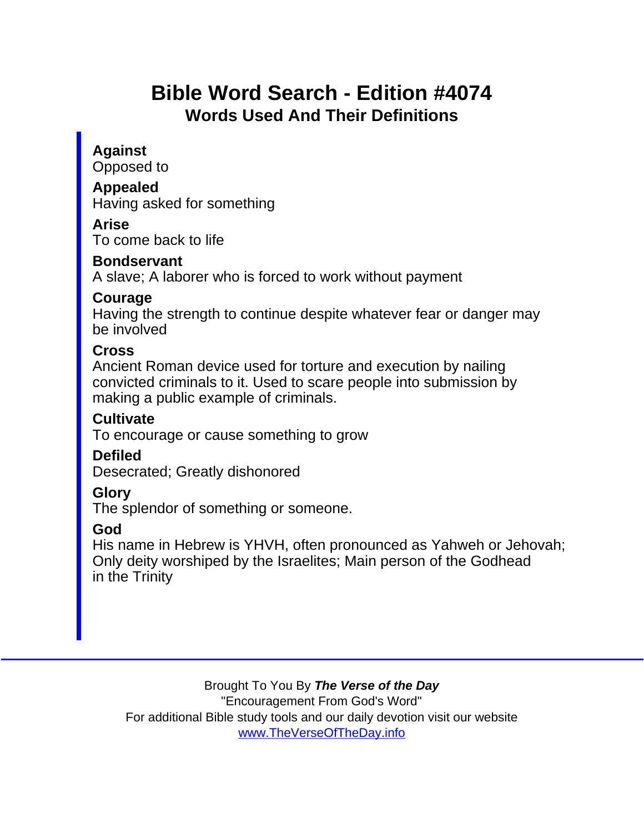# Bible Word Search - Edition #4074 Words Used And Their Definitions

Against Opposed to

Appealed Having asked for something

Arise

To come back to life

**Bondservant** 

A slave; A laborer who is forced to work without payment

Courage

Having the strength to continue despite whatever fear or danger may be involved

Cross

Ancient Roman device used for torture and execution by nailing convicted criminals to it. Used to scare people into submission by making a public example of criminals.

**Cultivate** 

To encourage or cause something to grow

**Defiled** 

Desecrated; Greatly dishonored

Glory

The splendor of something or someone.

God

His name in Hebrew is YHVH, often pronounced as Yahweh or Jehovah; Only deity worshiped by the Israelites; Main person of the Godhead in the Trinity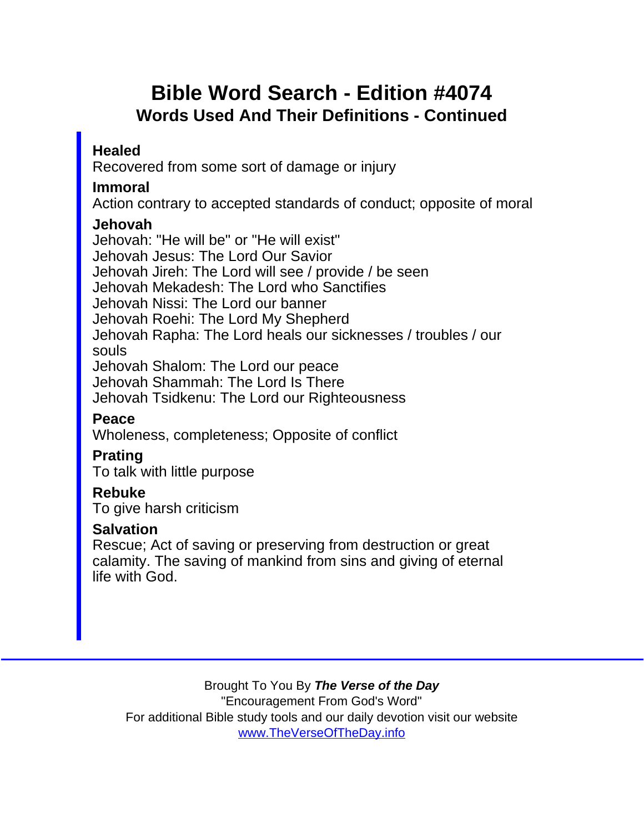## Bible Word Search - Edition #4074 Words Used And Their Definitions - Continued

Healed

Recovered from some sort of damage or injury

Immoral

Action contrary to accepted standards of conduct; opposite of moral

Jehovah

Jehovah: "He will be" or "He will exist" Jehovah Jesus: The Lord Our Savior Jehovah Jireh: The Lord will see / provide / be seen Jehovah Mekadesh: The Lord who Sanctifies Jehovah Nissi: The Lord our banner Jehovah Roehi: The Lord My Shepherd Jehovah Rapha: The Lord heals our sicknesses / troubles / our souls Jehovah Shalom: The Lord our peace Jehovah Shammah: The Lord Is There Jehovah Tsidkenu: The Lord our Righteousness Peace Wholeness, completeness; Opposite of conflict Prating To talk with little purpose Rebuke To give harsh criticism **Salvation** Rescue; Act of saving or preserving from destruction or great

calamity. The saving of mankind from sins and giving of eternal life with God.